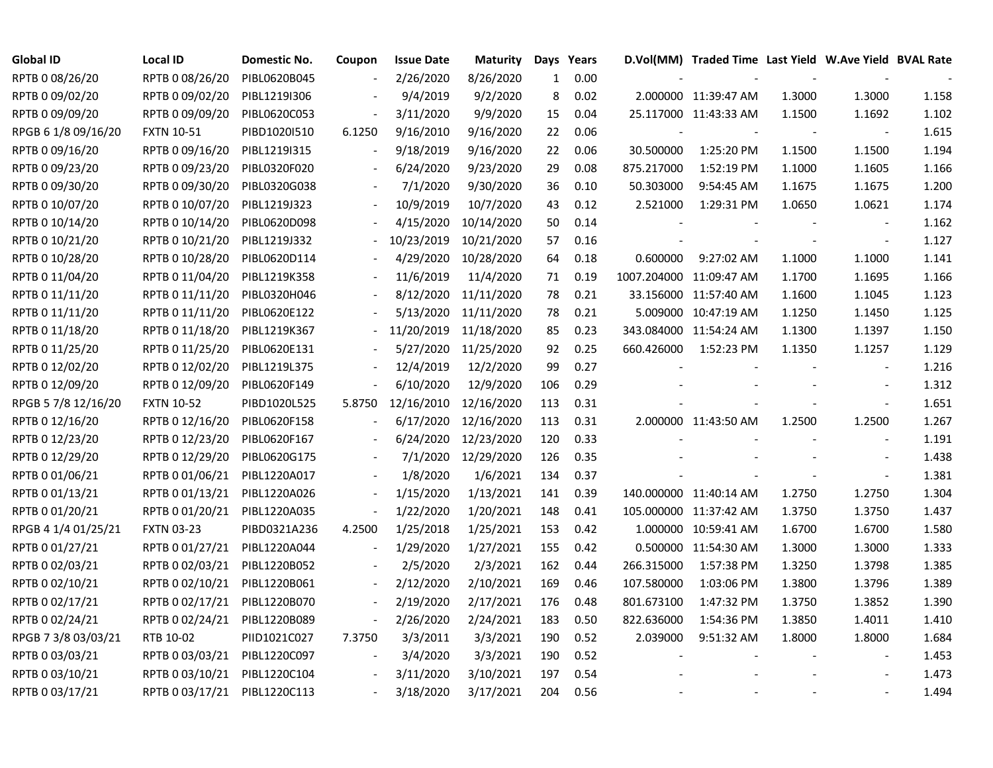| <b>Global ID</b>    | Local ID          | Domestic No. | Coupon | <b>Issue Date</b> | <b>Maturity</b> | Days              | Years |            | D.Vol(MM) Traded Time Last Yield W.Ave Yield BVAL Rate |                |                          |       |
|---------------------|-------------------|--------------|--------|-------------------|-----------------|-------------------|-------|------------|--------------------------------------------------------|----------------|--------------------------|-------|
| RPTB 0 08/26/20     | RPTB 0 08/26/20   | PIBL0620B045 |        | 2/26/2020         | 8/26/2020       | $\mathbf{1}$      | 0.00  |            |                                                        |                |                          |       |
| RPTB 0 09/02/20     | RPTB 0 09/02/20   | PIBL1219I306 |        | 9/4/2019          | 9/2/2020        | 8                 | 0.02  |            | 2.000000 11:39:47 AM                                   | 1.3000         | 1.3000                   | 1.158 |
| RPTB 0 09/09/20     | RPTB 0 09/09/20   | PIBL0620C053 |        | 3/11/2020         | 9/9/2020        | 15                | 0.04  |            | 25.117000 11:43:33 AM                                  | 1.1500         | 1.1692                   | 1.102 |
| RPGB 6 1/8 09/16/20 | <b>FXTN 10-51</b> | PIBD1020I510 | 6.1250 | 9/16/2010         | 9/16/2020       | $22 \overline{ }$ | 0.06  |            |                                                        |                | $\overline{\phantom{a}}$ | 1.615 |
| RPTB 0 09/16/20     | RPTB 0 09/16/20   | PIBL1219I315 |        | 9/18/2019         | 9/16/2020       | 22                | 0.06  | 30.500000  | 1:25:20 PM                                             | 1.1500         | 1.1500                   | 1.194 |
| RPTB 0 09/23/20     | RPTB 0 09/23/20   | PIBL0320F020 |        | 6/24/2020         | 9/23/2020       | 29                | 0.08  | 875.217000 | 1:52:19 PM                                             | 1.1000         | 1.1605                   | 1.166 |
| RPTB 0 09/30/20     | RPTB 0 09/30/20   | PIBL0320G038 |        | 7/1/2020          | 9/30/2020       | 36                | 0.10  | 50.303000  | 9:54:45 AM                                             | 1.1675         | 1.1675                   | 1.200 |
| RPTB 0 10/07/20     | RPTB 0 10/07/20   | PIBL1219J323 |        | 10/9/2019         | 10/7/2020       | 43                | 0.12  | 2.521000   | 1:29:31 PM                                             | 1.0650         | 1.0621                   | 1.174 |
| RPTB 0 10/14/20     | RPTB 0 10/14/20   | PIBL0620D098 |        | 4/15/2020         | 10/14/2020      | 50                | 0.14  |            |                                                        |                | $\blacksquare$           | 1.162 |
| RPTB 0 10/21/20     | RPTB 0 10/21/20   | PIBL1219J332 |        | 10/23/2019        | 10/21/2020      | 57                | 0.16  |            |                                                        | $\blacksquare$ | $\blacksquare$           | 1.127 |
| RPTB 0 10/28/20     | RPTB 0 10/28/20   | PIBL0620D114 |        | 4/29/2020         | 10/28/2020      | 64                | 0.18  | 0.600000   | 9:27:02 AM                                             | 1.1000         | 1.1000                   | 1.141 |
| RPTB 0 11/04/20     | RPTB 0 11/04/20   | PIBL1219K358 |        | 11/6/2019         | 11/4/2020       | 71                | 0.19  |            | 1007.204000 11:09:47 AM                                | 1.1700         | 1.1695                   | 1.166 |
| RPTB 0 11/11/20     | RPTB 0 11/11/20   | PIBL0320H046 |        | 8/12/2020         | 11/11/2020      | 78                | 0.21  |            | 33.156000 11:57:40 AM                                  | 1.1600         | 1.1045                   | 1.123 |
| RPTB 0 11/11/20     | RPTB 0 11/11/20   | PIBL0620E122 |        | 5/13/2020         | 11/11/2020      | 78                | 0.21  |            | 5.009000 10:47:19 AM                                   | 1.1250         | 1.1450                   | 1.125 |
| RPTB 0 11/18/20     | RPTB 0 11/18/20   | PIBL1219K367 |        | 11/20/2019        | 11/18/2020      | 85                | 0.23  |            | 343.084000 11:54:24 AM                                 | 1.1300         | 1.1397                   | 1.150 |
| RPTB 0 11/25/20     | RPTB 0 11/25/20   | PIBL0620E131 |        | 5/27/2020         | 11/25/2020      | 92                | 0.25  | 660.426000 | 1:52:23 PM                                             | 1.1350         | 1.1257                   | 1.129 |
| RPTB 0 12/02/20     | RPTB 0 12/02/20   | PIBL1219L375 |        | 12/4/2019         | 12/2/2020       | 99                | 0.27  |            |                                                        |                | $\overline{\phantom{a}}$ | 1.216 |
| RPTB 0 12/09/20     | RPTB 0 12/09/20   | PIBL0620F149 |        | 6/10/2020         | 12/9/2020       | 106               | 0.29  |            |                                                        |                | $\sim$                   | 1.312 |
| RPGB 5 7/8 12/16/20 | <b>FXTN 10-52</b> | PIBD1020L525 | 5.8750 | 12/16/2010        | 12/16/2020      | 113               | 0.31  |            |                                                        |                | $\blacksquare$           | 1.651 |
| RPTB 0 12/16/20     | RPTB 0 12/16/20   | PIBL0620F158 |        | 6/17/2020         | 12/16/2020      | 113               | 0.31  |            | 2.000000 11:43:50 AM                                   | 1.2500         | 1.2500                   | 1.267 |
| RPTB 0 12/23/20     | RPTB 0 12/23/20   | PIBL0620F167 |        | 6/24/2020         | 12/23/2020      | 120               | 0.33  |            |                                                        |                | $\sim$                   | 1.191 |
| RPTB 0 12/29/20     | RPTB 0 12/29/20   | PIBL0620G175 |        | 7/1/2020          | 12/29/2020      | 126               | 0.35  |            |                                                        |                | $\sim$                   | 1.438 |
| RPTB 0 01/06/21     | RPTB 0 01/06/21   | PIBL1220A017 |        | 1/8/2020          | 1/6/2021        | 134               | 0.37  |            |                                                        |                | $\blacksquare$           | 1.381 |
| RPTB 0 01/13/21     | RPTB 0 01/13/21   | PIBL1220A026 |        | 1/15/2020         | 1/13/2021       | 141               | 0.39  |            | 140.000000 11:40:14 AM                                 | 1.2750         | 1.2750                   | 1.304 |
| RPTB 0 01/20/21     | RPTB 0 01/20/21   | PIBL1220A035 |        | 1/22/2020         | 1/20/2021       | 148               | 0.41  |            | 105.000000 11:37:42 AM                                 | 1.3750         | 1.3750                   | 1.437 |
| RPGB 4 1/4 01/25/21 | <b>FXTN 03-23</b> | PIBD0321A236 | 4.2500 | 1/25/2018         | 1/25/2021       | 153               | 0.42  |            | 1.000000 10:59:41 AM                                   | 1.6700         | 1.6700                   | 1.580 |
| RPTB 0 01/27/21     | RPTB 0 01/27/21   | PIBL1220A044 |        | 1/29/2020         | 1/27/2021       | 155               | 0.42  |            | 0.500000 11:54:30 AM                                   | 1.3000         | 1.3000                   | 1.333 |
| RPTB 0 02/03/21     | RPTB 0 02/03/21   | PIBL1220B052 |        | 2/5/2020          | 2/3/2021        | 162               | 0.44  | 266.315000 | 1:57:38 PM                                             | 1.3250         | 1.3798                   | 1.385 |
| RPTB 0 02/10/21     | RPTB 0 02/10/21   | PIBL1220B061 |        | 2/12/2020         | 2/10/2021       | 169               | 0.46  | 107.580000 | 1:03:06 PM                                             | 1.3800         | 1.3796                   | 1.389 |
| RPTB 0 02/17/21     | RPTB 0 02/17/21   | PIBL1220B070 |        | 2/19/2020         | 2/17/2021       | 176               | 0.48  | 801.673100 | 1:47:32 PM                                             | 1.3750         | 1.3852                   | 1.390 |
| RPTB 0 02/24/21     | RPTB 0 02/24/21   | PIBL1220B089 |        | 2/26/2020         | 2/24/2021       | 183               | 0.50  | 822.636000 | 1:54:36 PM                                             | 1.3850         | 1.4011                   | 1.410 |
| RPGB 7 3/8 03/03/21 | RTB 10-02         | PIID1021C027 | 7.3750 | 3/3/2011          | 3/3/2021        | 190               | 0.52  | 2.039000   | 9:51:32 AM                                             | 1.8000         | 1.8000                   | 1.684 |
| RPTB 0 03/03/21     | RPTB 0 03/03/21   | PIBL1220C097 |        | 3/4/2020          | 3/3/2021        | 190               | 0.52  |            |                                                        |                |                          | 1.453 |
| RPTB 0 03/10/21     | RPTB 0 03/10/21   | PIBL1220C104 |        | 3/11/2020         | 3/10/2021       | 197               | 0.54  |            |                                                        |                |                          | 1.473 |
| RPTB 0 03/17/21     | RPTB 0 03/17/21   | PIBL1220C113 |        | 3/18/2020         | 3/17/2021       | 204               | 0.56  |            |                                                        |                |                          | 1.494 |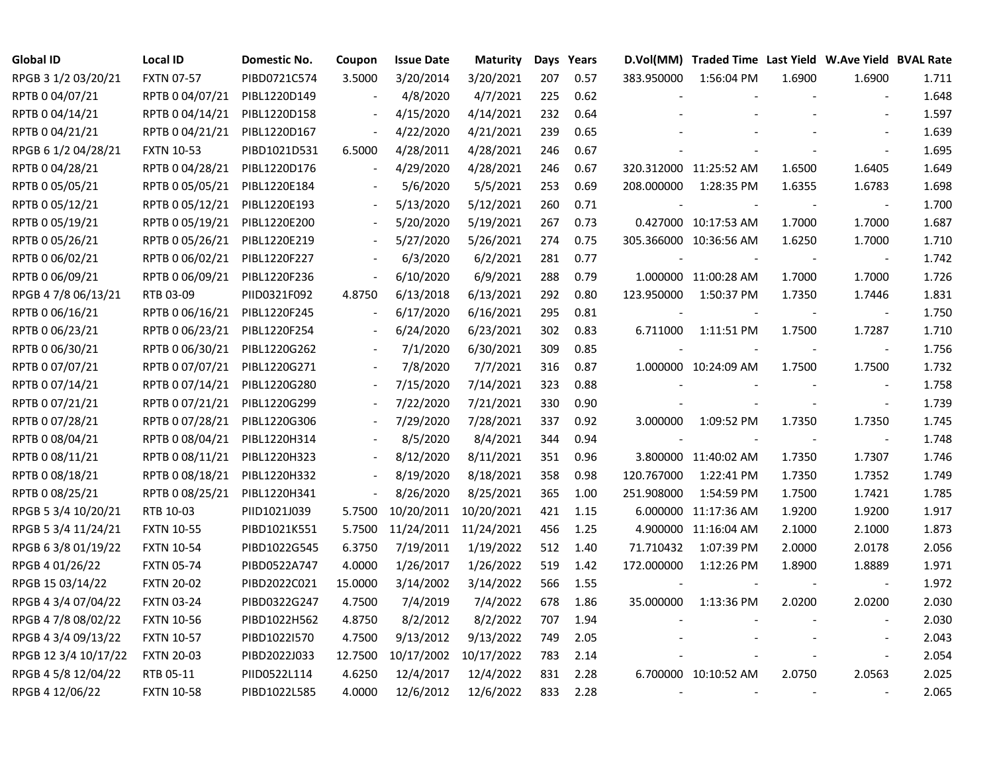| <b>Global ID</b>     | Local ID          | Domestic No. | Coupon  | <b>Issue Date</b> | <b>Maturity</b> |     | Days Years |            | D.Vol(MM) Traded Time Last Yield W.Ave Yield BVAL Rate |        |                          |       |
|----------------------|-------------------|--------------|---------|-------------------|-----------------|-----|------------|------------|--------------------------------------------------------|--------|--------------------------|-------|
| RPGB 3 1/2 03/20/21  | <b>FXTN 07-57</b> | PIBD0721C574 | 3.5000  | 3/20/2014         | 3/20/2021       | 207 | 0.57       | 383.950000 | 1:56:04 PM                                             | 1.6900 | 1.6900                   | 1.711 |
| RPTB 0 04/07/21      | RPTB 0 04/07/21   | PIBL1220D149 |         | 4/8/2020          | 4/7/2021        | 225 | 0.62       |            |                                                        |        |                          | 1.648 |
| RPTB 0 04/14/21      | RPTB 0 04/14/21   | PIBL1220D158 |         | 4/15/2020         | 4/14/2021       | 232 | 0.64       |            |                                                        |        |                          | 1.597 |
| RPTB 0 04/21/21      | RPTB 0 04/21/21   | PIBL1220D167 |         | 4/22/2020         | 4/21/2021       | 239 | 0.65       |            |                                                        |        |                          | 1.639 |
| RPGB 6 1/2 04/28/21  | <b>FXTN 10-53</b> | PIBD1021D531 | 6.5000  | 4/28/2011         | 4/28/2021       | 246 | 0.67       |            |                                                        |        |                          | 1.695 |
| RPTB 0 04/28/21      | RPTB 0 04/28/21   | PIBL1220D176 |         | 4/29/2020         | 4/28/2021       | 246 | 0.67       |            | 320.312000 11:25:52 AM                                 | 1.6500 | 1.6405                   | 1.649 |
| RPTB 0 05/05/21      | RPTB 0 05/05/21   | PIBL1220E184 |         | 5/6/2020          | 5/5/2021        | 253 | 0.69       | 208.000000 | 1:28:35 PM                                             | 1.6355 | 1.6783                   | 1.698 |
| RPTB 0 05/12/21      | RPTB 0 05/12/21   | PIBL1220E193 |         | 5/13/2020         | 5/12/2021       | 260 | 0.71       |            |                                                        |        |                          | 1.700 |
| RPTB 0 05/19/21      | RPTB 0 05/19/21   | PIBL1220E200 |         | 5/20/2020         | 5/19/2021       | 267 | 0.73       |            | 0.427000 10:17:53 AM                                   | 1.7000 | 1.7000                   | 1.687 |
| RPTB 0 05/26/21      | RPTB 0 05/26/21   | PIBL1220E219 |         | 5/27/2020         | 5/26/2021       | 274 | 0.75       |            | 305.366000 10:36:56 AM                                 | 1.6250 | 1.7000                   | 1.710 |
| RPTB 0 06/02/21      | RPTB 0 06/02/21   | PIBL1220F227 |         | 6/3/2020          | 6/2/2021        | 281 | 0.77       |            |                                                        |        | $\overline{\phantom{a}}$ | 1.742 |
| RPTB 0 06/09/21      | RPTB 0 06/09/21   | PIBL1220F236 |         | 6/10/2020         | 6/9/2021        | 288 | 0.79       |            | 1.000000 11:00:28 AM                                   | 1.7000 | 1.7000                   | 1.726 |
| RPGB 4 7/8 06/13/21  | RTB 03-09         | PIID0321F092 | 4.8750  | 6/13/2018         | 6/13/2021       | 292 | 0.80       | 123.950000 | 1:50:37 PM                                             | 1.7350 | 1.7446                   | 1.831 |
| RPTB 0 06/16/21      | RPTB 0 06/16/21   | PIBL1220F245 |         | 6/17/2020         | 6/16/2021       | 295 | 0.81       |            |                                                        |        |                          | 1.750 |
| RPTB 0 06/23/21      | RPTB 0 06/23/21   | PIBL1220F254 |         | 6/24/2020         | 6/23/2021       | 302 | 0.83       | 6.711000   | 1:11:51 PM                                             | 1.7500 | 1.7287                   | 1.710 |
| RPTB 0 06/30/21      | RPTB 0 06/30/21   | PIBL1220G262 |         | 7/1/2020          | 6/30/2021       | 309 | 0.85       |            |                                                        |        |                          | 1.756 |
| RPTB 0 07/07/21      | RPTB 0 07/07/21   | PIBL1220G271 |         | 7/8/2020          | 7/7/2021        | 316 | 0.87       |            | 1.000000 10:24:09 AM                                   | 1.7500 | 1.7500                   | 1.732 |
| RPTB 0 07/14/21      | RPTB 0 07/14/21   | PIBL1220G280 |         | 7/15/2020         | 7/14/2021       | 323 | 0.88       |            |                                                        |        |                          | 1.758 |
| RPTB 0 07/21/21      | RPTB 0 07/21/21   | PIBL1220G299 |         | 7/22/2020         | 7/21/2021       | 330 | 0.90       |            |                                                        |        | $\blacksquare$           | 1.739 |
| RPTB 0 07/28/21      | RPTB 0 07/28/21   | PIBL1220G306 |         | 7/29/2020         | 7/28/2021       | 337 | 0.92       | 3.000000   | 1:09:52 PM                                             | 1.7350 | 1.7350                   | 1.745 |
| RPTB 0 08/04/21      | RPTB 0 08/04/21   | PIBL1220H314 |         | 8/5/2020          | 8/4/2021        | 344 | 0.94       |            |                                                        |        |                          | 1.748 |
| RPTB 0 08/11/21      | RPTB 0 08/11/21   | PIBL1220H323 |         | 8/12/2020         | 8/11/2021       | 351 | 0.96       |            | 3.800000 11:40:02 AM                                   | 1.7350 | 1.7307                   | 1.746 |
| RPTB 0 08/18/21      | RPTB 0 08/18/21   | PIBL1220H332 |         | 8/19/2020         | 8/18/2021       | 358 | 0.98       | 120.767000 | 1:22:41 PM                                             | 1.7350 | 1.7352                   | 1.749 |
| RPTB 0 08/25/21      | RPTB 0 08/25/21   | PIBL1220H341 |         | 8/26/2020         | 8/25/2021       | 365 | 1.00       | 251.908000 | 1:54:59 PM                                             | 1.7500 | 1.7421                   | 1.785 |
| RPGB 5 3/4 10/20/21  | RTB 10-03         | PIID1021J039 | 5.7500  | 10/20/2011        | 10/20/2021      | 421 | 1.15       |            | 6.000000 11:17:36 AM                                   | 1.9200 | 1.9200                   | 1.917 |
| RPGB 5 3/4 11/24/21  | <b>FXTN 10-55</b> | PIBD1021K551 | 5.7500  | 11/24/2011        | 11/24/2021      | 456 | 1.25       |            | 4.900000 11:16:04 AM                                   | 2.1000 | 2.1000                   | 1.873 |
| RPGB 63/8 01/19/22   | <b>FXTN 10-54</b> | PIBD1022G545 | 6.3750  | 7/19/2011         | 1/19/2022       | 512 | 1.40       | 71.710432  | 1:07:39 PM                                             | 2.0000 | 2.0178                   | 2.056 |
| RPGB 4 01/26/22      | <b>FXTN 05-74</b> | PIBD0522A747 | 4.0000  | 1/26/2017         | 1/26/2022       | 519 | 1.42       | 172.000000 | 1:12:26 PM                                             | 1.8900 | 1.8889                   | 1.971 |
| RPGB 15 03/14/22     | <b>FXTN 20-02</b> | PIBD2022C021 | 15.0000 | 3/14/2002         | 3/14/2022       | 566 | 1.55       |            |                                                        |        |                          | 1.972 |
| RPGB 4 3/4 07/04/22  | <b>FXTN 03-24</b> | PIBD0322G247 | 4.7500  | 7/4/2019          | 7/4/2022        | 678 | 1.86       | 35.000000  | 1:13:36 PM                                             | 2.0200 | 2.0200                   | 2.030 |
| RPGB 4 7/8 08/02/22  | <b>FXTN 10-56</b> | PIBD1022H562 | 4.8750  | 8/2/2012          | 8/2/2022        | 707 | 1.94       |            |                                                        |        |                          | 2.030 |
| RPGB 4 3/4 09/13/22  | <b>FXTN 10-57</b> | PIBD1022I570 | 4.7500  | 9/13/2012         | 9/13/2022       | 749 | 2.05       |            |                                                        |        |                          | 2.043 |
| RPGB 12 3/4 10/17/22 | <b>FXTN 20-03</b> | PIBD2022J033 | 12.7500 | 10/17/2002        | 10/17/2022      | 783 | 2.14       |            |                                                        |        |                          | 2.054 |
| RPGB 4 5/8 12/04/22  | RTB 05-11         | PIID0522L114 | 4.6250  | 12/4/2017         | 12/4/2022       | 831 | 2.28       |            | 6.700000 10:10:52 AM                                   | 2.0750 | 2.0563                   | 2.025 |
| RPGB 4 12/06/22      | <b>FXTN 10-58</b> | PIBD1022L585 | 4.0000  | 12/6/2012         | 12/6/2022       | 833 | 2.28       |            | $\overline{\phantom{a}}$                               |        |                          | 2.065 |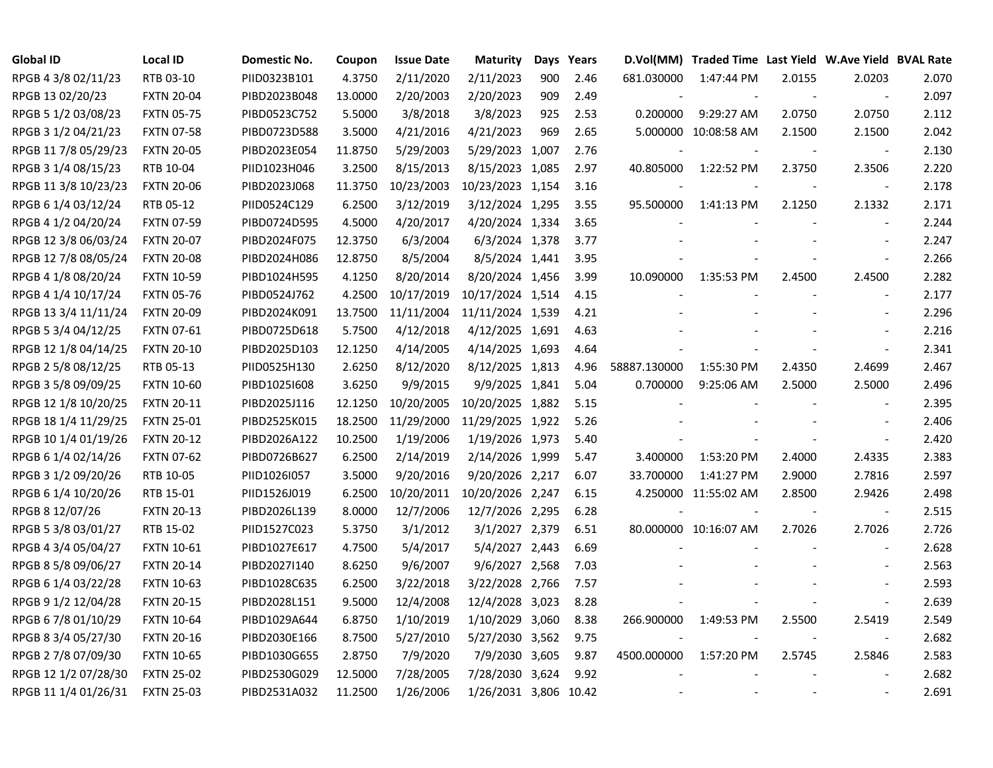| <b>Global ID</b>     | <b>Local ID</b>   | Domestic No. | Coupon  | <b>Issue Date</b> | <b>Maturity</b>       | Days | Years |              | D.Vol(MM) Traded Time Last Yield W.Ave Yield BVAL Rate |        |                          |       |
|----------------------|-------------------|--------------|---------|-------------------|-----------------------|------|-------|--------------|--------------------------------------------------------|--------|--------------------------|-------|
| RPGB 4 3/8 02/11/23  | RTB 03-10         | PIID0323B101 | 4.3750  | 2/11/2020         | 2/11/2023             | 900  | 2.46  | 681.030000   | 1:47:44 PM                                             | 2.0155 | 2.0203                   | 2.070 |
| RPGB 13 02/20/23     | <b>FXTN 20-04</b> | PIBD2023B048 | 13.0000 | 2/20/2003         | 2/20/2023             | 909  | 2.49  |              |                                                        |        |                          | 2.097 |
| RPGB 5 1/2 03/08/23  | <b>FXTN 05-75</b> | PIBD0523C752 | 5.5000  | 3/8/2018          | 3/8/2023              | 925  | 2.53  | 0.200000     | 9:29:27 AM                                             | 2.0750 | 2.0750                   | 2.112 |
| RPGB 3 1/2 04/21/23  | <b>FXTN 07-58</b> | PIBD0723D588 | 3.5000  | 4/21/2016         | 4/21/2023             | 969  | 2.65  |              | 5.000000 10:08:58 AM                                   | 2.1500 | 2.1500                   | 2.042 |
| RPGB 11 7/8 05/29/23 | <b>FXTN 20-05</b> | PIBD2023E054 | 11.8750 | 5/29/2003         | 5/29/2023 1,007       |      | 2.76  |              |                                                        |        | $\overline{\phantom{a}}$ | 2.130 |
| RPGB 3 1/4 08/15/23  | RTB 10-04         | PIID1023H046 | 3.2500  | 8/15/2013         | 8/15/2023 1,085       |      | 2.97  | 40.805000    | 1:22:52 PM                                             | 2.3750 | 2.3506                   | 2.220 |
| RPGB 11 3/8 10/23/23 | <b>FXTN 20-06</b> | PIBD2023J068 | 11.3750 | 10/23/2003        | 10/23/2023 1,154      |      | 3.16  |              |                                                        |        | $\overline{\phantom{a}}$ | 2.178 |
| RPGB 6 1/4 03/12/24  | RTB 05-12         | PIID0524C129 | 6.2500  | 3/12/2019         | 3/12/2024 1,295       |      | 3.55  | 95.500000    | 1:41:13 PM                                             | 2.1250 | 2.1332                   | 2.171 |
| RPGB 4 1/2 04/20/24  | <b>FXTN 07-59</b> | PIBD0724D595 | 4.5000  | 4/20/2017         | 4/20/2024 1,334       |      | 3.65  |              |                                                        |        | $\sim$                   | 2.244 |
| RPGB 12 3/8 06/03/24 | <b>FXTN 20-07</b> | PIBD2024F075 | 12.3750 | 6/3/2004          | 6/3/2024 1,378        |      | 3.77  |              |                                                        |        | $\blacksquare$           | 2.247 |
| RPGB 12 7/8 08/05/24 | <b>FXTN 20-08</b> | PIBD2024H086 | 12.8750 | 8/5/2004          | 8/5/2024 1,441        |      | 3.95  |              |                                                        |        | $\blacksquare$           | 2.266 |
| RPGB 4 1/8 08/20/24  | <b>FXTN 10-59</b> | PIBD1024H595 | 4.1250  | 8/20/2014         | 8/20/2024 1,456       |      | 3.99  | 10.090000    | 1:35:53 PM                                             | 2.4500 | 2.4500                   | 2.282 |
| RPGB 4 1/4 10/17/24  | <b>FXTN 05-76</b> | PIBD0524J762 | 4.2500  | 10/17/2019        | 10/17/2024 1,514      |      | 4.15  |              |                                                        |        | $\sim$                   | 2.177 |
| RPGB 13 3/4 11/11/24 | <b>FXTN 20-09</b> | PIBD2024K091 | 13.7500 | 11/11/2004        | 11/11/2024 1,539      |      | 4.21  |              |                                                        |        |                          | 2.296 |
| RPGB 5 3/4 04/12/25  | <b>FXTN 07-61</b> | PIBD0725D618 | 5.7500  | 4/12/2018         | 4/12/2025 1,691       |      | 4.63  |              |                                                        |        |                          | 2.216 |
| RPGB 12 1/8 04/14/25 | <b>FXTN 20-10</b> | PIBD2025D103 | 12.1250 | 4/14/2005         | 4/14/2025 1,693       |      | 4.64  |              |                                                        |        |                          | 2.341 |
| RPGB 2 5/8 08/12/25  | RTB 05-13         | PIID0525H130 | 2.6250  | 8/12/2020         | 8/12/2025 1,813       |      | 4.96  | 58887.130000 | 1:55:30 PM                                             | 2.4350 | 2.4699                   | 2.467 |
| RPGB 3 5/8 09/09/25  | <b>FXTN 10-60</b> | PIBD1025I608 | 3.6250  | 9/9/2015          | 9/9/2025 1,841        |      | 5.04  | 0.700000     | 9:25:06 AM                                             | 2.5000 | 2.5000                   | 2.496 |
| RPGB 12 1/8 10/20/25 | <b>FXTN 20-11</b> | PIBD2025J116 | 12.1250 | 10/20/2005        | 10/20/2025 1,882      |      | 5.15  |              |                                                        |        | $\blacksquare$           | 2.395 |
| RPGB 18 1/4 11/29/25 | <b>FXTN 25-01</b> | PIBD2525K015 | 18.2500 | 11/29/2000        | 11/29/2025 1,922      |      | 5.26  |              |                                                        |        | $\overline{\phantom{a}}$ | 2.406 |
| RPGB 10 1/4 01/19/26 | <b>FXTN 20-12</b> | PIBD2026A122 | 10.2500 | 1/19/2006         | 1/19/2026 1,973       |      | 5.40  |              |                                                        |        | $\blacksquare$           | 2.420 |
| RPGB 6 1/4 02/14/26  | <b>FXTN 07-62</b> | PIBD0726B627 | 6.2500  | 2/14/2019         | 2/14/2026 1,999       |      | 5.47  | 3.400000     | 1:53:20 PM                                             | 2.4000 | 2.4335                   | 2.383 |
| RPGB 3 1/2 09/20/26  | RTB 10-05         | PIID1026I057 | 3.5000  | 9/20/2016         | 9/20/2026 2,217       |      | 6.07  | 33.700000    | 1:41:27 PM                                             | 2.9000 | 2.7816                   | 2.597 |
| RPGB 6 1/4 10/20/26  | RTB 15-01         | PIID1526J019 | 6.2500  | 10/20/2011        | 10/20/2026 2,247      |      | 6.15  |              | 4.250000 11:55:02 AM                                   | 2.8500 | 2.9426                   | 2.498 |
| RPGB 8 12/07/26      | <b>FXTN 20-13</b> | PIBD2026L139 | 8.0000  | 12/7/2006         | 12/7/2026 2,295       |      | 6.28  |              |                                                        |        | $\blacksquare$           | 2.515 |
| RPGB 5 3/8 03/01/27  | RTB 15-02         | PIID1527C023 | 5.3750  | 3/1/2012          | 3/1/2027 2,379        |      | 6.51  |              | 80.000000 10:16:07 AM                                  | 2.7026 | 2.7026                   | 2.726 |
| RPGB 4 3/4 05/04/27  | <b>FXTN 10-61</b> | PIBD1027E617 | 4.7500  | 5/4/2017          | 5/4/2027 2,443        |      | 6.69  |              |                                                        |        |                          | 2.628 |
| RPGB 8 5/8 09/06/27  | <b>FXTN 20-14</b> | PIBD2027I140 | 8.6250  | 9/6/2007          | 9/6/2027 2,568        |      | 7.03  |              |                                                        |        |                          | 2.563 |
| RPGB 6 1/4 03/22/28  | <b>FXTN 10-63</b> | PIBD1028C635 | 6.2500  | 3/22/2018         | 3/22/2028 2,766       |      | 7.57  |              |                                                        |        |                          | 2.593 |
| RPGB 9 1/2 12/04/28  | <b>FXTN 20-15</b> | PIBD2028L151 | 9.5000  | 12/4/2008         | 12/4/2028 3,023       |      | 8.28  |              |                                                        |        | $\blacksquare$           | 2.639 |
| RPGB 6 7/8 01/10/29  | <b>FXTN 10-64</b> | PIBD1029A644 | 6.8750  | 1/10/2019         | 1/10/2029 3,060       |      | 8.38  | 266.900000   | 1:49:53 PM                                             | 2.5500 | 2.5419                   | 2.549 |
| RPGB 8 3/4 05/27/30  | <b>FXTN 20-16</b> | PIBD2030E166 | 8.7500  | 5/27/2010         | 5/27/2030 3,562       |      | 9.75  |              |                                                        |        | $\blacksquare$           | 2.682 |
| RPGB 2 7/8 07/09/30  | <b>FXTN 10-65</b> | PIBD1030G655 | 2.8750  | 7/9/2020          | 7/9/2030 3,605        |      | 9.87  | 4500.000000  | 1:57:20 PM                                             | 2.5745 | 2.5846                   | 2.583 |
| RPGB 12 1/2 07/28/30 | <b>FXTN 25-02</b> | PIBD2530G029 | 12.5000 | 7/28/2005         | 7/28/2030 3,624       |      | 9.92  |              |                                                        |        |                          | 2.682 |
| RPGB 11 1/4 01/26/31 | <b>FXTN 25-03</b> | PIBD2531A032 | 11.2500 | 1/26/2006         | 1/26/2031 3,806 10.42 |      |       |              |                                                        |        |                          | 2.691 |